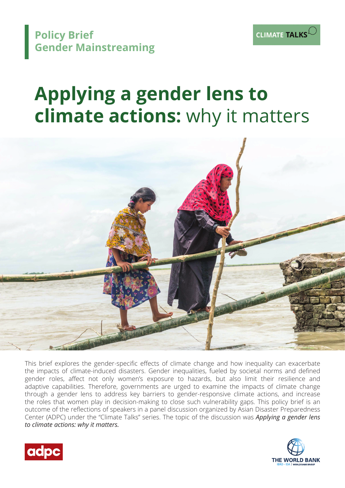

# **Applying a gender lens to climate actions:** why it matters



This brief explores the gender-specific effects of climate change and how inequality can exacerbate the impacts of climate-induced disasters. Gender inequalities, fueled by societal norms and defined gender roles, affect not only women's exposure to hazards, but also limit their resilience and adaptive capabilities. Therefore, governments are urged to examine the impacts of climate change through a gender lens to address key barriers to gender-responsive climate actions, and increase the roles that women play in decision-making to close such vulnerability gaps. This policy brief is an outcome of the reflections of speakers in a panel discussion organized by Asian Disaster Preparedness Center (ADPC) under the "Climate Talks" series. The topic of the discussion was *Applying a gender lens to climate actions: why it matters.*





**CLIMATE TALKS**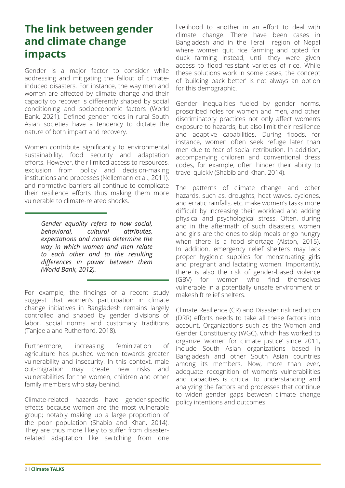## **The link between gender and climate change impacts**

Gender is a major factor to consider while addressing and mitigating the fallout of climateinduced disasters. For instance, the way men and women are affected by climate change and their capacity to recover is differently shaped by social conditioning and socioeconomic factors (World Bank, 2021). Defined gender roles in rural South Asian societies have a tendency to dictate the nature of both impact and recovery.

Women contribute significantly to environmental sustainability, food security and adaptation efforts. However, their limited access to resources, exclusion from policy and decision-making institutions and processes (Nellemann et al., 2011), and normative barriers all continue to complicate their resilience efforts thus making them more vulnerable to climate-related shocks.

> *Gender equality refers to how social, behavioral, cultural attributes, expectations and norms determine the way in which women and men relate to each other and to the resulting differences in power between them (World Bank, 2012).*

For example, the findings of a recent study suggest that women's participation in climate change initiatives in Bangladesh remains largely controlled and shaped by gender divisions of labor, social norms and customary traditions (Tanjeela and Rutherford, 2018).

Furthermore, increasing feminization of agriculture has pushed women towards greater vulnerability and insecurity. In this context, male out-migration may create new risks and vulnerabilities for the women, children and other family members who stay behind.

Climate-related hazards have gender-specific effects because women are the most vulnerable group; notably making up a large proportion of the poor population (Shabib and Khan, 2014). They are thus more likely to suffer from disasterrelated adaptation like switching from one

livelihood to another in an effort to deal with climate change. There have been cases in Bangladesh and in the Terai region of Nepal where women quit rice farming and opted for duck farming instead, until they were given access to flood-resistant varieties of rice. While these solutions work in some cases, the concept of 'building back better' is not always an option for this demographic.

Gender inequalities fueled by gender norms, proscribed roles for women and men, and other discriminatory practices not only affect women's exposure to hazards, but also limit their resilience and adaptive capabilities. During floods, for instance, women often seek refuge later than men due to fear of social retribution. In addition, accompanying children and conventional dress codes, for example, often hinder their ability to travel quickly (Shabib and Khan, 2014).

The patterns of climate change and other hazards, such as, droughts, heat waves, cyclones, and erratic rainfalls, etc. make women's tasks more difficult by increasing their workload and adding physical and psychological stress. Often, during and in the aftermath of such disasters, women and girls are the ones to skip meals or go hungry when there is a food shortage (Alston, 2015). In addition, emergency relief shelters may lack proper hygienic supplies for menstruating girls and pregnant and lactating women. Importantly, there is also the risk of gender-based violence (GBV) for women who find themselves vulnerable in a potentially unsafe environment of makeshift relief shelters.

Climate Resilience (CR) and Disaster risk reduction (DRR) efforts needs to take all these factors into account. Organizations such as the Women and Gender Constituency (WGC), which has worked to organize 'women for climate justice' since 2011, include South Asian organizations based in Bangladesh and other South Asian countries among its members. Now, more than ever, adequate recognition of women's vulnerabilities and capacities is critical to understanding and analyzing the factors and processes that continue to widen gender gaps between climate change policy intentions and outcomes.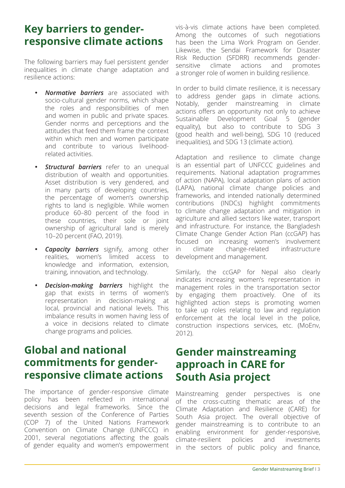#### **Key barriers to genderresponsive climate actions**

The following barriers may fuel persistent gender inequalities in climate change adaptation and resilience actions:

- **Normative barriers** are associated with socio-cultural gender norms, which shape the roles and responsibilities of men and women in public and private spaces. Gender norms and perceptions and the attitudes that feed them frame the context within which men and women participate and contribute to various livelihoodrelated activities.
- **Structural barriers** refer to an unequal distribution of wealth and opportunities. Asset distribution is very gendered, and in many parts of developing countries, the percentage of women's ownership rights to land is negligible. While women produce 60–80 percent of the food in these countries, their sole or joint ownership of agricultural land is merely 10–20 percent (FAO, 2019).
- **Capacity barriers** signify, among other realities, women's limited access to knowledge and information, extension, training, innovation, and technology.
- *Decision-making barriers* highlight the gap that exists in terms of women's representation in decision-making at local, provincial and national levels. This imbalance results in women having less of a voice in decisions related to climate change programs and policies.

## **Global and national commitments for genderresponsive climate actions**

The importance of gender-responsive climate policy has been reflected in international decisions and legal frameworks. Since the seventh session of the Conference of Parties (COP 7) of the United Nations Framework Convention on Climate Change (UNFCCC) in 2001, several negotiations affecting the goals of gender equality and women's empowerment

vis-à-vis climate actions have been completed. Among the outcomes of such negotiations has been the Lima Work Program on Gender. Likewise, the Sendai Framework for Disaster Risk Reduction (SFDRR) recommends gendersensitive climate actions and promotes a stronger role of women in building resilience.

In order to build climate resilience, it is necessary to address gender gaps in climate actions. Notably, gender mainstreaming in climate actions offers an opportunity not only to achieve Sustainable Development Goal 5 (gender equality), but also to contribute to SDG 3 (good health and well-being), SDG 10 (reduced inequalities), and SDG 13 (climate action).

Adaptation and resilience to climate change is an essential part of UNFCCC guidelines and requirements. National adaptation programmes of action (NAPA), local adaptation plans of action (LAPA), national climate change policies and frameworks, and intended nationally determined contributions (INDCs) highlight commitments to climate change adaptation and mitigation in agriculture and allied sectors like water, transport and infrastructure. For instance, the Bangladesh Climate Change Gender Action Plan (ccGAP) has focused on increasing women's involvement in climate change-related infrastructure development and management.

Similarly, the ccGAP for Nepal also clearly indicates increasing women's representation in management roles in the transportation sector by engaging them proactively. One of its highlighted action steps is promoting women to take up roles relating to law and regulation enforcement at the local level in the police, construction inspections services, etc. (MoEnv, 2012).

#### **Gender mainstreaming approach in CARE for South Asia project**

Mainstreaming gender perspectives is one of the cross-cutting thematic areas of the Climate Adaptation and Resilience (CARE) for South Asia project. The overall objective of gender mainstreaming is to contribute to an enabling environment for gender-responsive, climate-resilient policies and investments in the sectors of public policy and finance,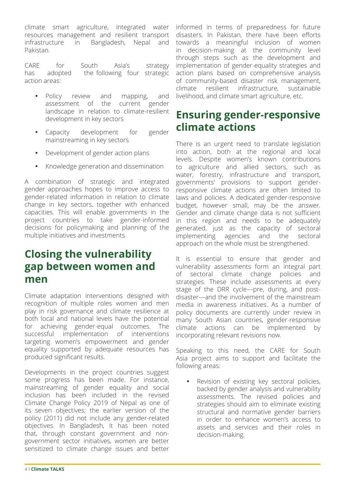climate smart agriculture, integrated water resources management and resilient transport infrastructure in Bangladesh, Nepal and Pakistan.

CARE for South Asia's strategy has adopted the following four strategic action areas:

- Policy review and mapping, and assessment of the landscape in relation to climate-resilient development in key sectors
- Capacity development for gender mainstreaming in key sectors
- Development of gender action plans
- Knowledge generation and dissemination

A combination of strategic and integrated gender approaches hopes to improve access to gender-related information in relation to climate change in key sectors, together with enhanced capacities. This will enable governments in the project countries to take gender-informed decisions for policymaking and planning of the multiple initiatives and investments

### **Closing the vulnerability gap between women and men**

Climate adaptation interventions designed with recognition of multiple roles women and men play in risk governance and climate resilience at both local and national levels have the potential for achieving gender-equal outcomes. The successful implementation of interventions targeting women's empowerment and gender equality supported by adequate resources has produced significant results.

Developments in the project countries suggest some progress has been made. For instance, mainstreaming of gender equality and social inclusion has been included in the revised Climate Change Policy 2019 of Nepal as one of its seven objectives; the earlier version of the policy (2011) did not include any gender-related objectives. In Bangladesh, it has been noted that, through constant government and nongovernment sector initiatives, women are better sensitized to climate change issues and better

informed in terms of preparedness for future disasters. In Pakistan, there have been efforts towards a meaningful inclusion of women in decision-making at the community level through steps such as the development and implementation of gender-equality strategies and action plans based on comprehensive analysis of community-based disaster risk management, climate resilient infrastructure, sustainable livelihood, and climate smart agriculture, etc.

### **Ensuring gender-responsive climate actions**

There is an urgent need to translate legislation into action, both at the regional and local levels. Despite women's known contributions to agriculture and allied sectors, such as water, forestry, infrastructure and transport, governments' provisions to support genderresponsive climate actions are often limited to laws and policies. A dedicated gender-responsive budget, however small, may be the answer. Gender and climate change data is not sufficient in this region and needs to be adequately generated, just as the capacity of sectoral implementing agencies and the sectoral approach on the whole must be strengthened.

It is essential to ensure that gender and vulnerability assessments form an integral part of sectoral climate change policies and strategies. These include assessments at every stage of the DRR cycle—pre, during, and postdisaster—and the involvement of the mainstream media in awareness initiatives. As a number of policy documents are currently under review in many South Asian countries, gender-responsive climate actions can be implemented by incorporating relevant revisions now.

Speaking to this need, the CARE for South Asia project aims to support and facilitate the following areas:

Revision of existing key sectoral policies, backed by gender analysis and vulnerability assessments. The revised policies and strategies should aim to eliminate existing structural and normative gender barriers in order to enhance women's access to assets and services and their roles in decision-making.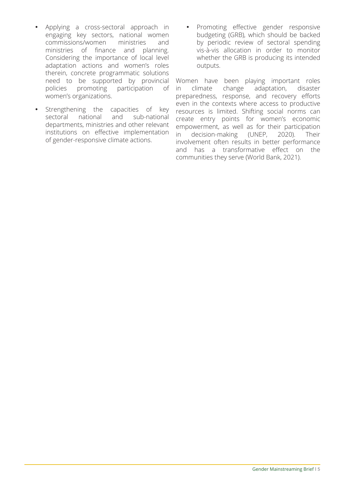- Applying a cross-sectoral approach in engaging key sectors, national women commissions/women ministries and ministries of finance and planning. Considering the importance of local level adaptation actions and women's roles therein, concrete programmatic solutions need to be supported by provincial policies promoting participation of women's organizations.
- Strengthening the capacities of key sectoral national and sub-national departments, ministries and other relevant institutions on effective implementation of gender-responsive climate actions.
- Promoting effective gender responsive budgeting (GRB), which should be backed by periodic review of sectoral spending vis-à-vis allocation in order to monitor whether the GRB is producing its intended outputs.

Women have been playing important roles in climate change adaptation, disaster preparedness, response, and recovery efforts even in the contexts where access to productive resources is limited. Shifting social norms can create entry points for women's economic empowerment, as well as for their participation in decision-making (UNEP, 2020). Their involvement often results in better performance and has a transformative effect on the communities they serve (World Bank, 2021).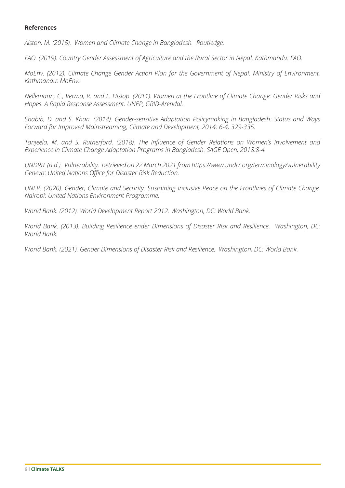#### **References**

*Alston, M. (2015). Women and Climate Change in Bangladesh. Routledge.*

*FAO. (2019). Country Gender Assessment of Agriculture and the Rural Sector in Nepal. Kathmandu: FAO.*

*MoEnv. (2012). Climate Change Gender Action Plan for the Government of Nepal. Ministry of Environment. Kathmandu: MoEnv.*

*Nellemann, C., Verma, R. and L. Hislop. (2011). Women at the Frontline of Climate Change: Gender Risks and Hopes. A Rapid Response Assessment. UNEP, GRID-Arendal.*

*Shabib, D. and S. Khan. (2014). Gender-sensitive Adaptation Policymaking in Bangladesh: Status and Ways Forward for Improved Mainstreaming, Climate and Development, 2014: 6-4, 329-335.*

*Tanjeela, M. and S. Rutherford. (2018). The Influence of Gender Relations on Women's Involvement and Experience in Climate Change Adaptation Programs in Bangladesh. SAGE Open, 2018:8-4.*

*UNDRR. (n.d.). Vulnerability. Retrieved on 22 March 2021 from https://www.undrr.org/terminology/vulnerability Geneva: United Nations Office for Disaster Risk Reduction.*

*UNEP. (2020). Gender, Climate and Security: Sustaining Inclusive Peace on the Frontlines of Climate Change. Nairobi: United Nations Environment Programme.*

*World Bank. (2012). World Development Report 2012. Washington, DC: World Bank.* 

*World Bank. (2013). Building Resilience ender Dimensions of Disaster Risk and Resilience. Washington, DC: World Bank.*

*World Bank. (2021). Gender Dimensions of Disaster Risk and Resilience. Washington, DC: World Bank.*